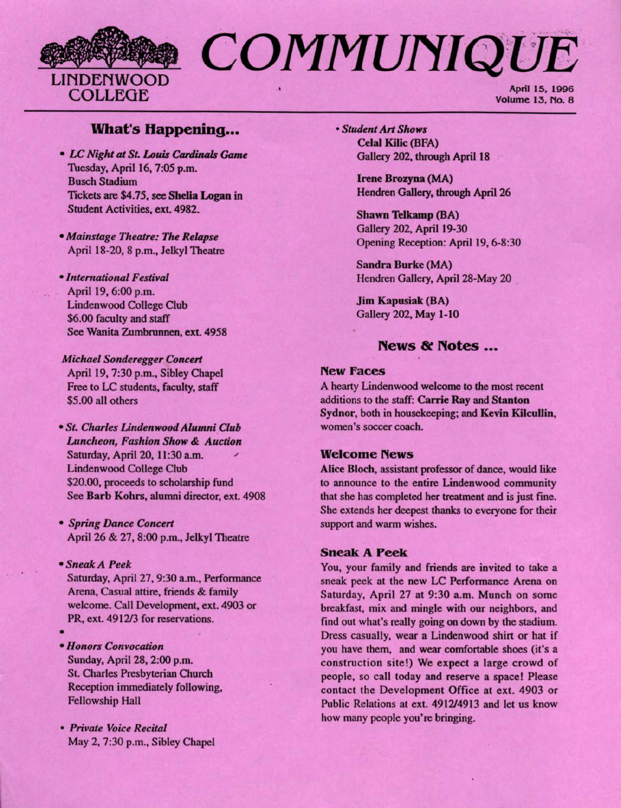

# COMMUNIQUE LINDENWOOD . April 15, 1996

## **What's Happening...**

- LC Night *al* SL *Louis* Cardinals Ganu Tuesday, April 16, 7:05 p.m. Busch Stadium Tickets are \$4.75, **sec Shelia Logan** in Student Activities, ext. 4982.
- *Mainstage Theatre: The Relapse*  April 18-20, 8 p.m., Jelkyl Theatre
- *International Festival* April 19, 6:00 p.m. Lindenwood College Club \$6.00 faculty and staff See Wanita Zumbrunnen, ext. 4958
- *Michael Sonderegger Concert*  April 19, 7:30 p.m., Sibley Chapel Free to LC students, faculty, staff \$5.00 all others
- *SL Charles Lindenwood Alumni Club Luncheon, Fashion Show* & *Auction*  Saturday, April 20, 11:30 a.m. Lindenwood College Club \$20.00, proceeds to scholarship fund See Barb Kohrs, alumni director, ext. 4908
- *Spring Dance Concert*  April 26 & 27, 8:00 p.m., Jelkyl Theatre
- *Sneak A Peek*  Saturday, April 27, 9:30 a.m., Performance Arena, Casual attire, friends & family welcome. Call Development. ext. 4903 or PR, ext. 4912/3 for reservations.
- • *Honors Convocation*  Sunday, April 28, 2:00 p.m. St. Charles Presbyterian Church Reception immediately following, Fellowship Hall
- *PrivaJe Voice Recital*  May 2, 7:30 p.m., Sibley Chapel

• *Student Art Shows*  Celal Kilic (BFA) Gallery 202, through April 18

> Irene Brozyna (MA) Hendren Gallery, through April 26

Shawn **Telkamp** (BA) Gallery 202, April 19-30 Opening Reception: April 19, 6-8:30

Sandra Burke (MA) Hendren Gallery, April 28-May 20

Jim Kapusiak (BA) Gallery 202, May 1-10

# **News & Notes ...**

## **New Faces**

A hearty Lindenwood welcome to the most recent additions to the staff: **Carrie Ray** and **Stanton Sydnor,** both in housekeeping; and **Kevin Kilcullin,**  women's soccer coach.

## **Welcome News**

**Alice** Bloch, assistant professor of dance, would like to announce to the entire Lindenwood community that she has completed her treatment and is just fine. She extends her deepest thanks to everyone for their support and warm wishes.

## **Sneak A Peek**

You, your family and friends are invited to take a sneak peek at the new LC Performance Arena on Saturday, April 27 at 9:30 a.m. Munch on some breakfast, mix and mingle with our neighbors, and find out what's really going on down by the stadium. Dress casually, wear a Lindenwood shirt or hat if you have them, and wear comfortable shoes (it's a construction site!) We expect a large crowd of people, so call today and reserve a space! Please contact the Development Office at ext. 4903 or Public Relations at ext. 4912/4913 and let us know how many people you're bringing.